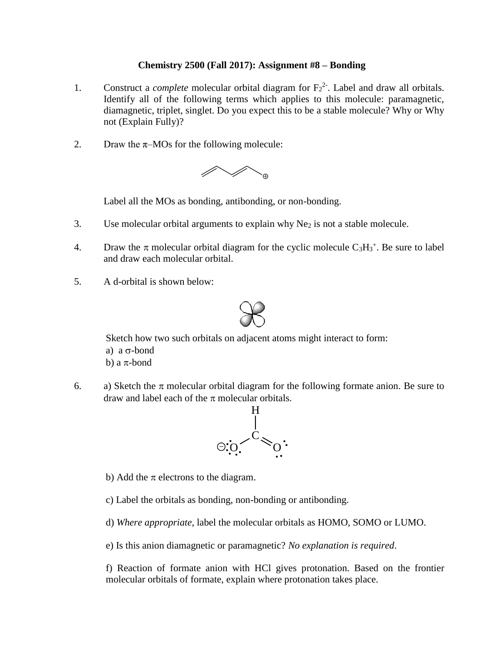## **Chemistry 2500 (Fall 2017): Assignment #8 – Bonding**

- 1. Construct a *complete* molecular orbital diagram for  $F_2^2$ . Label and draw all orbitals. Identify all of the following terms which applies to this molecule: paramagnetic, diamagnetic, triplet, singlet. Do you expect this to be a stable molecule? Why or Why not (Explain Fully)?
- 2. Draw the  $\pi$ -MOs for the following molecule:



Label all the MOs as bonding, antibonding, or non-bonding.

- 3. Use molecular orbital arguments to explain why  $Ne<sub>2</sub>$  is not a stable molecule.
- 4. Draw the  $\pi$  molecular orbital diagram for the cyclic molecule C<sub>3</sub>H<sub>3</sub><sup>+</sup>. Be sure to label and draw each molecular orbital.
- 5. A d-orbital is shown below:



Sketch how two such orbitals on adjacent atoms might interact to form: a) a  $\sigma$ -bond

- b) a  $\pi$ -bond
- 6. a) Sketch the  $\pi$  molecular orbital diagram for the following formate anion. Be sure to draw and label each of the  $\pi$  molecular orbitals.



b) Add the  $\pi$  electrons to the diagram.

c) Label the orbitals as bonding, non-bonding or antibonding.

d) *Where appropriate*, label the molecular orbitals as HOMO, SOMO or LUMO.

e) Is this anion diamagnetic or paramagnetic? *No explanation is required*.

f) Reaction of formate anion with HCl gives protonation. Based on the frontier molecular orbitals of formate, explain where protonation takes place.